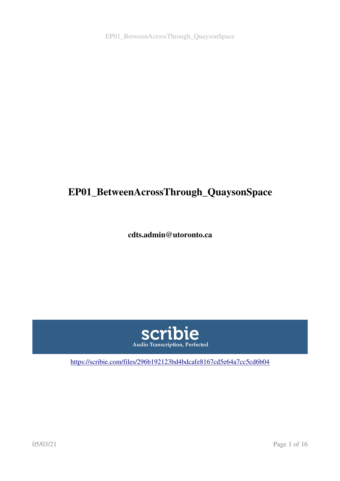EP01\_BetweenAcrossThrough\_QuaysonSpace

# EP01\_BetweenAcrossThrough\_QuaysonSpace

cdts.admin@utoronto.ca



<https://scribie.com/files/296b192123bd4bdcafe8167cd5e64a7cc5cd6b04>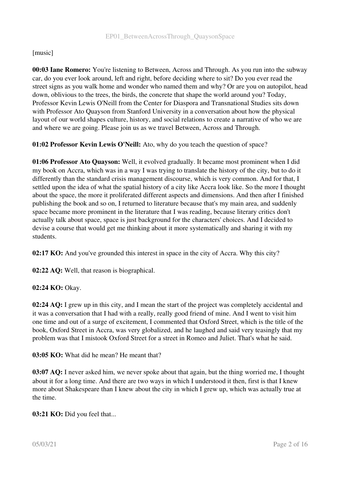#### [music]

00:03 Iane Romero: You're listening to Between, Across and Through. As you run into the subway car, do you ever look around, left and right, before deciding where to sit? Do you ever read the street signs as you walk home and wonder who named them and why? Or are you on autopilot, head down, oblivious to the trees, the birds, the concrete that shape the world around you? Today, Professor Kevin Lewis O'Neill from the Center for Diaspora and Transnational Studies sits down with Professor Ato Quayson from Stanford University in a conversation about how the physical layout of our world shapes culture, history, and social relations to create a narrative of who we are and where we are going. Please join us as we travel Between, Across and Through.

01:02 Professor Kevin Lewis O'Neill: Ato, why do you teach the question of space?

01:06 Professor Ato Quayson: Well, it evolved gradually. It became most prominent when I did my book on Accra, which was in a way I was trying to translate the history of the city, but to do it differently than the standard crisis management discourse, which is very common. And for that, I settled upon the idea of what the spatial history of a city like Accra look like. So the more I thought about the space, the more it proliferated different aspects and dimensions. And then after I finished publishing the book and so on, I returned to literature because that's my main area, and suddenly space became more prominent in the literature that I was reading, because literary critics don't actually talk about space, space is just background for the characters' choices. And I decided to devise a course that would get me thinking about it more systematically and sharing it with my students.

02:17 KO: And you've grounded this interest in space in the city of Accra. Why this city?

02:22 AQ: Well, that reason is biographical.

#### 02:24 KO: Okay.

02:24 AQ: I grew up in this city, and I mean the start of the project was completely accidental and it was a conversation that I had with a really, really good friend of mine. And I went to visit him one time and out of a surge of excitement, I commented that Oxford Street, which is the title of the book, Oxford Street in Accra, was very globalized, and he laughed and said very teasingly that my problem was that I mistook Oxford Street for a street in Romeo and Juliet. That's what he said.

03:05 KO: What did he mean? He meant that?

03:07 AQ: I never asked him, we never spoke about that again, but the thing worried me, I thought about it for a long time. And there are two ways in which I understood it then, first is that I knew more about Shakespeare than I knew about the city in which I grew up, which was actually true at the time.

03:21 KO: Did you feel that...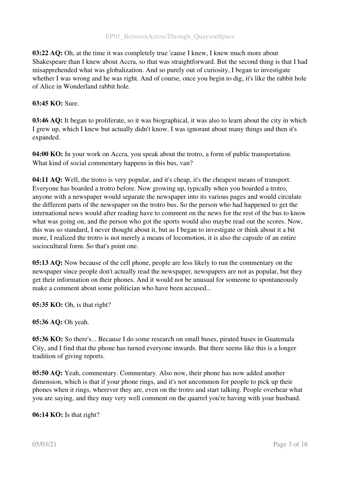03:22 AQ: Oh, at the time it was completely true 'cause I knew, I knew much more about Shakespeare than I knew about Accra, so that was straightforward. But the second thing is that I had misapprehended what was globalization. And so purely out of curiosity, I began to investigate whether I was wrong and he was right. And of course, once you begin to dig, it's like the rabbit hole of Alice in Wonderland rabbit hole.

#### 03:45 KO: Sure.

03:46 AQ: It began to proliferate, so it was biographical, it was also to learn about the city in which I grew up, which I knew but actually didn't know. I was ignorant about many things and then it's expanded.

04:00 KO: In your work on Accra, you speak about the trotro, a form of public transportation. What kind of social commentary happens in this bus, van?

04:11 AQ: Well, the trotro is very popular, and it's cheap, it's the cheapest means of transport. Everyone has boarded a trotro before. Now growing up, typically when you boarded a trotro, anyone with a newspaper would separate the newspaper into its various pages and would circulate the different parts of the newspaper on the trotro bus. So the person who had happened to get the international news would after reading have to comment on the news for the rest of the bus to know what was going on, and the person who got the sports would also maybe read out the scores. Now, this was so standard, I never thought about it, but as I began to investigate or think about it a bit more, I realized the trotro is not merely a means of locomotion, it is also the capsule of an entire sociocultural form. So that's point one.

05:13 AQ: Now because of the cell phone, people are less likely to run the commentary on the newspaper since people don't actually read the newspaper, newspapers are not as popular, but they get their information on their phones. And it would not be unusual for someone to spontaneously make a comment about some politician who have been accused...

05:35 KO: Oh, is that right?

05:36 AQ: Oh yeah.

05:36 KO: So there's... Because I do some research on small buses, pirated buses in Guatemala City, and I find that the phone has turned everyone inwards. But there seems like this is a longer tradition of giving reports.

05:50 AQ: Yeah, commentary. Commentary. Also now, their phone has now added another dimension, which is that if your phone rings, and it's not uncommon for people to pick up their phones when it rings, wherever they are, even on the trotro and start talking. People overhear what you are saying, and they may very well comment on the quarrel you're having with your husband.

#### 06:14 KO: Is that right?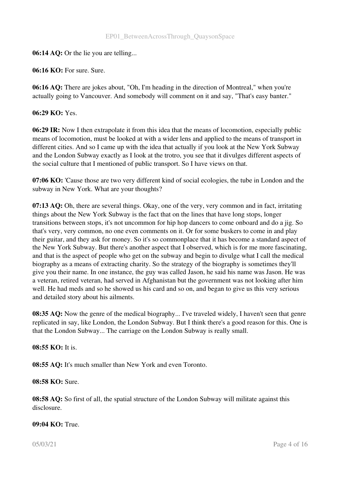#### 06:14 AQ: Or the lie you are telling...

06:16 KO: For sure. Sure.

06:16 AQ: There are jokes about, "Oh, I'm heading in the direction of Montreal," when you're actually going to Vancouver. And somebody will comment on it and say, "That's easy banter."

#### 06:29 KO: Yes.

06:29 IR: Now I then extrapolate it from this idea that the means of locomotion, especially public means of locomotion, must be looked at with a wider lens and applied to the means of transport in different cities. And so I came up with the idea that actually if you look at the New York Subway and the London Subway exactly as I look at the trotro, you see that it divulges different aspects of the social culture that I mentioned of public transport. So I have views on that.

07:06 KO: 'Cause those are two very different kind of social ecologies, the tube in London and the subway in New York. What are your thoughts?

07:13 AQ: Oh, there are several things. Okay, one of the very, very common and in fact, irritating things about the New York Subway is the fact that on the lines that have long stops, longer transitions between stops, it's not uncommon for hip hop dancers to come onboard and do a jig. So that's very, very common, no one even comments on it. Or for some buskers to come in and play their guitar, and they ask for money. So it's so commonplace that it has become a standard aspect of the New York Subway. But there's another aspect that I observed, which is for me more fascinating, and that is the aspect of people who get on the subway and begin to divulge what I call the medical biography as a means of extracting charity. So the strategy of the biography is sometimes they'll give you their name. In one instance, the guy was called Jason, he said his name was Jason. He was a veteran, retired veteran, had served in Afghanistan but the government was not looking after him well. He had meds and so he showed us his card and so on, and began to give us this very serious and detailed story about his ailments.

08:35 AQ: Now the genre of the medical biography... I've traveled widely, I haven't seen that genre replicated in say, like London, the London Subway. But I think there's a good reason for this. One is that the London Subway... The carriage on the London Subway is really small.

#### 08:55 KO: It is.

08:55 AQ: It's much smaller than New York and even Toronto.

08:58 KO: Sure.

08:58 AQ: So first of all, the spatial structure of the London Subway will militate against this disclosure.

#### 09:04 KO: True.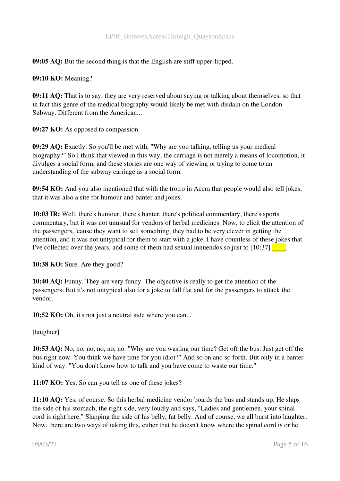09:05 AO: But the second thing is that the English are stiff upper-lipped.

09:10 KO: Meaning?

09:11 AQ: That is to say, they are very reserved about saying or talking about themselves, so that in fact this genre of the medical biography would likely be met with disdain on the London Subway. Different from the American...

09:27 KO: As opposed to compassion.

09:29 AQ: Exactly. So you'll be met with, "Why are you talking, telling us your medical biography?" So I think that viewed in this way, the carriage is not merely a means of locomotion, it divulges a social form, and these stories are one way of viewing or trying to come to an understanding of the subway carriage as a social form.

09:54 KO: And you also mentioned that with the trotro in Accra that people would also tell jokes, that it was also a site for humour and banter and jokes.

10:03 IR: Well, there's humour, there's banter, there's political commentary, there's sports commentary, but it was not unusual for vendors of herbal medicines. Now, to elicit the attention of the passengers, 'cause they want to sell something, they had to be very clever in getting the attention, and it was not untypical for them to start with a joke. I have countless of these jokes that I've collected over the years, and some of them had sexual innuendos so just to  $[10:37]$ 

10:38 KO: Sure. Are they good?

10:40 AQ: Funny. They are very funny. The objective is really to get the attention of the passengers. But it's not untypical also for a joke to fall flat and for the passengers to attack the vendor.

10:52 KO: Oh, it's not just a neutral side where you can...

[laughter]

10:53 AQ: No, no, no, no, no, no. "Why are you wasting our time? Get off the bus. Just get off the bus right now. You think we have time for you idiot?" And so on and so forth. But only in a banter kind of way. "You don't know how to talk and you have come to waste our time."

11:07 KO: Yes. So can you tell us one of these jokes?

11:10 AQ: Yes, of course. So this herbal medicine vendor boards the bus and stands up. He slaps the side of his stomach, the right side, very loudly and says, "Ladies and gentlemen, your spinal cord is right here." Slapping the side of his belly, fat belly. And of course, we all burst into laughter. Now, there are two ways of taking this, either that he doesn't know where the spinal cord is or he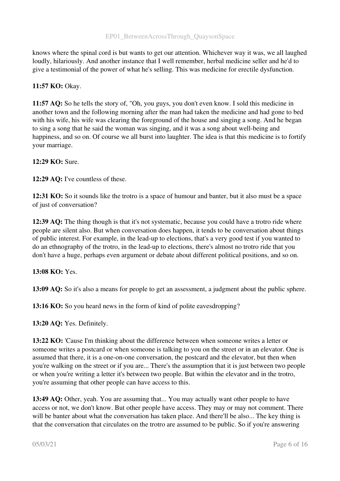knows where the spinal cord is but wants to get our attention. Whichever way it was, we all laughed loudly, hilariously. And another instance that I well remember, herbal medicine seller and he'd to give a testimonial of the power of what he's selling. This was medicine for erectile dysfunction.

# 11:57 KO: Okay.

11:57 AQ: So he tells the story of, "Oh, you guys, you don't even know. I sold this medicine in another town and the following morning after the man had taken the medicine and had gone to bed with his wife, his wife was clearing the foreground of the house and singing a song. And he began to sing a song that he said the woman was singing, and it was a song about well-being and happiness, and so on. Of course we all burst into laughter. The idea is that this medicine is to fortify your marriage.

# 12:29 KO: Sure.

12:29 AQ: I've countless of these.

12:31 KO: So it sounds like the trotro is a space of humour and banter, but it also must be a space of just of conversation?

12:39 AQ: The thing though is that it's not systematic, because you could have a trotro ride where people are silent also. But when conversation does happen, it tends to be conversation about things of public interest. For example, in the lead-up to elections, that's a very good test if you wanted to do an ethnography of the trotro, in the lead-up to elections, there's almost no trotro ride that you don't have a huge, perhaps even argument or debate about different political positions, and so on.

13:08 KO: Yes.

13:09 AQ: So it's also a means for people to get an assessment, a judgment about the public sphere.

13:16 KO: So you heard news in the form of kind of polite eavesdropping?

13:20 AQ: Yes. Definitely.

13:22 KO: 'Cause I'm thinking about the difference between when someone writes a letter or someone writes a postcard or when someone is talking to you on the street or in an elevator. One is assumed that there, it is a one-on-one conversation, the postcard and the elevator, but then when you're walking on the street or if you are... There's the assumption that it is just between two people or when you're writing a letter it's between two people. But within the elevator and in the trotro, you're assuming that other people can have access to this.

13:49 AQ: Other, yeah. You are assuming that... You may actually want other people to have access or not, we don't know. But other people have access. They may or may not comment. There will be banter about what the conversation has taken place. And there'll be also... The key thing is that the conversation that circulates on the trotro are assumed to be public. So if you're answering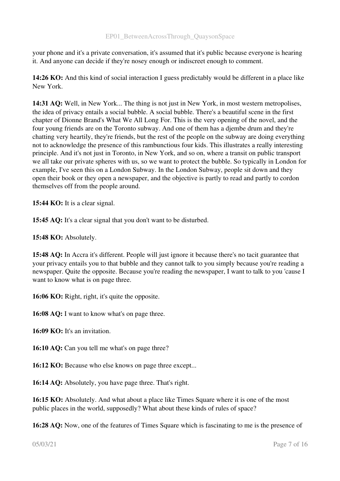your phone and it's a private conversation, it's assumed that it's public because everyone is hearing it. And anyone can decide if they're nosey enough or indiscreet enough to comment.

14:26 KO: And this kind of social interaction I guess predictably would be different in a place like New York.

14:31 AQ: Well, in New York... The thing is not just in New York, in most western metropolises, the idea of privacy entails a social bubble. A social bubble. There's a beautiful scene in the first chapter of Dionne Brand's What We All Long For. This is the very opening of the novel, and the four young friends are on the Toronto subway. And one of them has a djembe drum and they're chatting very heartily, they're friends, but the rest of the people on the subway are doing everything not to acknowledge the presence of this rambunctious four kids. This illustrates a really interesting principle. And it's not just in Toronto, in New York, and so on, where a transit on public transport we all take our private spheres with us, so we want to protect the bubble. So typically in London for example, I've seen this on a London Subway. In the London Subway, people sit down and they open their book or they open a newspaper, and the objective is partly to read and partly to cordon themselves off from the people around.

15:44 KO: It is a clear signal.

15:45 AQ: It's a clear signal that you don't want to be disturbed.

15:48 KO: Absolutely.

15:48 AQ: In Accra it's different. People will just ignore it because there's no tacit guarantee that your privacy entails you to that bubble and they cannot talk to you simply because you're reading a newspaper. Quite the opposite. Because you're reading the newspaper, I want to talk to you 'cause I want to know what is on page three.

16:06 KO: Right, right, it's quite the opposite.

16:08 AQ: I want to know what's on page three.

16:09 KO: It's an invitation.

16:10 AQ: Can you tell me what's on page three?

16:12 KO: Because who else knows on page three except...

16:14 AQ: Absolutely, you have page three. That's right.

16:15 KO: Absolutely. And what about a place like Times Square where it is one of the most public places in the world, supposedly? What about these kinds of rules of space?

16:28 AQ: Now, one of the features of Times Square which is fascinating to me is the presence of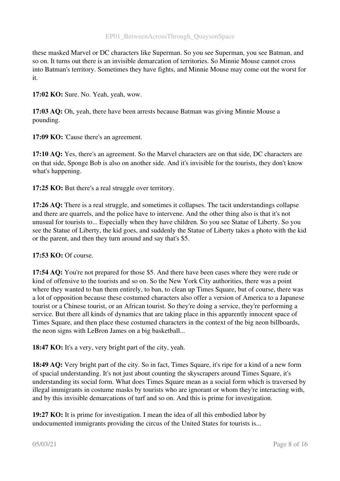these masked Marvel or DC characters like Superman. So you see Superman, you see Batman, and so on. It turns out there is an invisible demarcation of territories. So Minnie Mouse cannot cross into Batman's territory. Sometimes they have fights, and Minnie Mouse may come out the worst for it.

17:02 KO: Sure. No. Yeah, yeah, wow.

17:03 AQ: Oh, yeah, there have been arrests because Batman was giving Minnie Mouse a pounding.

17:09 KO: 'Cause there's an agreement.

17:10 AQ: Yes, there's an agreement. So the Marvel characters are on that side, DC characters are on that side, Sponge Bob is also on another side. And it's invisible for the tourists, they don't know what's happening.

17:25 KO: But there's a real struggle over territory.

17:26 AQ: There is a real struggle, and sometimes it collapses. The tacit understandings collapse and there are quarrels, and the police have to intervene. And the other thing also is that it's not unusual for tourists to... Especially when they have children. So you see Statue of Liberty. So you see the Statue of Liberty, the kid goes, and suddenly the Statue of Liberty takes a photo with the kid or the parent, and then they turn around and say that's \$5.

17:53 KO: Of course.

17:54 AQ: You're not prepared for those \$5. And there have been cases where they were rude or kind of offensive to the tourists and so on. So the New York City authorities, there was a point where they wanted to ban them entirely, to ban, to clean up Times Square, but of course, there was a lot of opposition because these costumed characters also offer a version of America to a Japanese tourist or a Chinese tourist, or an African tourist. So they're doing a service, they're performing a service. But there all kinds of dynamics that are taking place in this apparently innocent space of Times Square, and then place these costumed characters in the context of the big neon billboards, the neon signs with LeBron James on a big basketball...

18:47 KO: It's a very, very bright part of the city, yeah.

18:49 AQ: Very bright part of the city. So in fact, Times Square, it's ripe for a kind of a new form of spacial understanding. It's not just about counting the skyscrapers around Times Square, it's understanding its social form. What does Times Square mean as a social form which is traversed by illegal immigrants in costume masks by tourists who are ignorant or whom they're interacting with, and by this invisible demarcations of turf and so on. And this is prime for investigation.

19:27 KO: It is prime for investigation. I mean the idea of all this embodied labor by undocumented immigrants providing the circus of the United States for tourists is...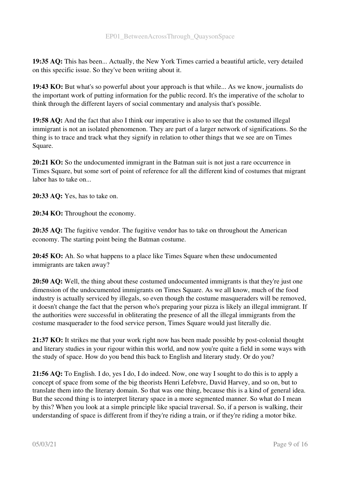19:35 AQ: This has been... Actually, the New York Times carried a beautiful article, very detailed on this specific issue. So they've been writing about it.

19:43 KO: But what's so powerful about your approach is that while... As we know, journalists do the important work of putting information for the public record. It's the imperative of the scholar to think through the different layers of social commentary and analysis that's possible.

19:58 AQ: And the fact that also I think our imperative is also to see that the costumed illegal immigrant is not an isolated phenomenon. They are part of a larger network of significations. So the thing is to trace and track what they signify in relation to other things that we see are on Times Square.

20:21 KO: So the undocumented immigrant in the Batman suit is not just a rare occurrence in Times Square, but some sort of point of reference for all the different kind of costumes that migrant labor has to take on...

20:33 AQ: Yes, has to take on.

20:34 KO: Throughout the economy.

20:35 AQ: The fugitive vendor. The fugitive vendor has to take on throughout the American economy. The starting point being the Batman costume.

20:45 KO: Ah. So what happens to a place like Times Square when these undocumented immigrants are taken away?

20:50 AQ: Well, the thing about these costumed undocumented immigrants is that they're just one dimension of the undocumented immigrants on Times Square. As we all know, much of the food industry is actually serviced by illegals, so even though the costume masqueraders will be removed, it doesn't change the fact that the person who's preparing your pizza is likely an illegal immigrant. If the authorities were successful in obliterating the presence of all the illegal immigrants from the costume masquerader to the food service person, Times Square would just literally die.

21:37 KO: It strikes me that your work right now has been made possible by post-colonial thought and literary studies in your rigour within this world, and now you're quite a field in some ways with the study of space. How do you bend this back to English and literary study. Or do you?

21:56 AQ: To English. I do, yes I do, I do indeed. Now, one way I sought to do this is to apply a concept of space from some of the big theorists Henri Lefebvre, David Harvey, and so on, but to translate them into the literary domain. So that was one thing, because this is a kind of general idea. But the second thing is to interpret literary space in a more segmented manner. So what do I mean by this? When you look at a simple principle like spacial traversal. So, if a person is walking, their understanding of space is different from if they're riding a train, or if they're riding a motor bike.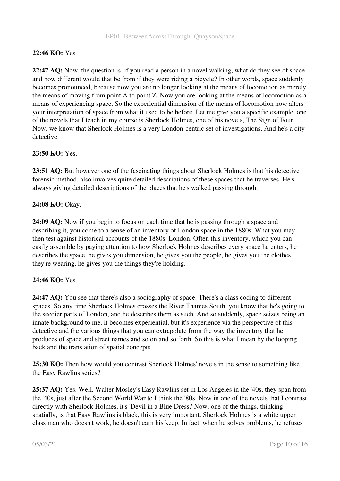# 22:46 KO: Yes.

22:47 AQ: Now, the question is, if you read a person in a novel walking, what do they see of space and how different would that be from if they were riding a bicycle? In other words, space suddenly becomes pronounced, because now you are no longer looking at the means of locomotion as merely the means of moving from point A to point Z. Now you are looking at the means of locomotion as a means of experiencing space. So the experiential dimension of the means of locomotion now alters your interpretation of space from what it used to be before. Let me give you a specific example, one of the novels that I teach in my course is Sherlock Holmes, one of his novels, The Sign of Four. Now, we know that Sherlock Holmes is a very London-centric set of investigations. And he's a city detective.

#### 23:50 KO: Yes.

23:51 AQ: But however one of the fascinating things about Sherlock Holmes is that his detective forensic method, also involves quite detailed descriptions of these spaces that he traverses. He's always giving detailed descriptions of the places that he's walked passing through.

#### 24:08 KO: Okay.

24:09 AQ: Now if you begin to focus on each time that he is passing through a space and describing it, you come to a sense of an inventory of London space in the 1880s. What you may then test against historical accounts of the 1880s, London. Often this inventory, which you can easily assemble by paying attention to how Sherlock Holmes describes every space he enters, he describes the space, he gives you dimension, he gives you the people, he gives you the clothes they're wearing, he gives you the things they're holding.

#### 24:46 KO: Yes.

24:47 AQ: You see that there's also a sociography of space. There's a class coding to different spaces. So any time Sherlock Holmes crosses the River Thames South, you know that he's going to the seedier parts of London, and he describes them as such. And so suddenly, space seizes being an innate background to me, it becomes experiential, but it's experience via the perspective of this detective and the various things that you can extrapolate from the way the inventory that he produces of space and street names and so on and so forth. So this is what I mean by the looping back and the translation of spatial concepts.

25:30 KO: Then how would you contrast Sherlock Holmes' novels in the sense to something like the Easy Rawlins series?

25:37 AQ: Yes. Well, Walter Mosley's Easy Rawlins set in Los Angeles in the '40s, they span from the '40s, just after the Second World War to I think the '80s. Now in one of the novels that I contrast directly with Sherlock Holmes, it's 'Devil in a Blue Dress.' Now, one of the things, thinking spatially, is that Easy Rawlins is black, this is very important. Sherlock Holmes is a white upper class man who doesn't work, he doesn't earn his keep. In fact, when he solves problems, he refuses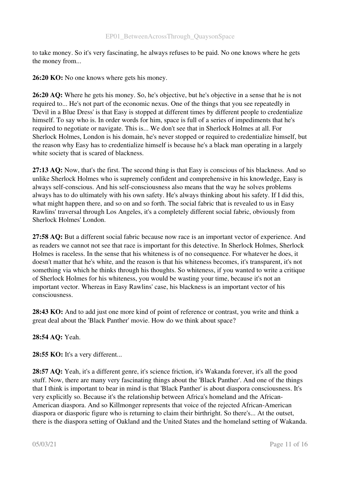to take money. So it's very fascinating, he always refuses to be paid. No one knows where he gets the money from...

26:20 KO: No one knows where gets his money.

26:20 AQ: Where he gets his money. So, he's objective, but he's objective in a sense that he is not required to... He's not part of the economic nexus. One of the things that you see repeatedly in 'Devil in a Blue Dress' is that Easy is stopped at different times by different people to credentialize himself. To say who is. In order words for him, space is full of a series of impediments that he's required to negotiate or navigate. This is... We don't see that in Sherlock Holmes at all. For Sherlock Holmes, London is his domain, he's never stopped or required to credentialize himself, but the reason why Easy has to credentialize himself is because he's a black man operating in a largely white society that is scared of blackness.

27:13 AQ: Now, that's the first. The second thing is that Easy is conscious of his blackness. And so unlike Sherlock Holmes who is supremely confident and comprehensive in his knowledge, Easy is always self-conscious. And his self-consciousness also means that the way he solves problems always has to do ultimately with his own safety. He's always thinking about his safety. If I did this, what might happen there, and so on and so forth. The social fabric that is revealed to us in Easy Rawlins' traversal through Los Angeles, it's a completely different social fabric, obviously from Sherlock Holmes' London.

27:58 AQ: But a different social fabric because now race is an important vector of experience. And as readers we cannot not see that race is important for this detective. In Sherlock Holmes, Sherlock Holmes is raceless. In the sense that his whiteness is of no consequence. For whatever he does, it doesn't matter that he's white, and the reason is that his whiteness becomes, it's transparent, it's not something via which he thinks through his thoughts. So whiteness, if you wanted to write a critique of Sherlock Holmes for his whiteness, you would be wasting your time, because it's not an important vector. Whereas in Easy Rawlins' case, his blackness is an important vector of his consciousness.

28:43 KO: And to add just one more kind of point of reference or contrast, you write and think a great deal about the 'Black Panther' movie. How do we think about space?

28:54 AQ: Yeah.

28:55 KO: It's a very different...

28:57 AQ: Yeah, it's a different genre, it's science friction, it's Wakanda forever, it's all the good stuff. Now, there are many very fascinating things about the 'Black Panther'. And one of the things that I think is important to bear in mind is that 'Black Panther' is about diaspora consciousness. It's very explicitly so. Because it's the relationship between Africa's homeland and the African-American diaspora. And so Killmonger represents that voice of the rejected African-American diaspora or diasporic figure who is returning to claim their birthright. So there's... At the outset, there is the diaspora setting of Oakland and the United States and the homeland setting of Wakanda.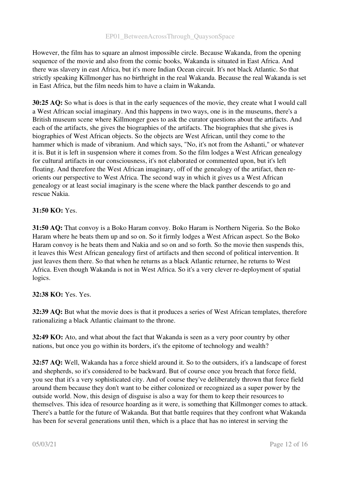However, the film has to square an almost impossible circle. Because Wakanda, from the opening sequence of the movie and also from the comic books, Wakanda is situated in East Africa. And there was slavery in east Africa, but it's more Indian Ocean circuit. It's not black Atlantic. So that strictly speaking Killmonger has no birthright in the real Wakanda. Because the real Wakanda is set in East Africa, but the film needs him to have a claim in Wakanda.

30:25 AQ: So what is does is that in the early sequences of the movie, they create what I would call a West African social imaginary. And this happens in two ways, one is in the museums, there's a British museum scene where Killmonger goes to ask the curator questions about the artifacts. And each of the artifacts, she gives the biographies of the artifacts. The biographies that she gives is biographies of West African objects. So the objects are West African, until they come to the hammer which is made of vibranium. And which says, "No, it's not from the Ashanti," or whatever it is. But it is left in suspension where it comes from. So the film lodges a West African genealogy for cultural artifacts in our consciousness, it's not elaborated or commented upon, but it's left floating. And therefore the West African imaginary, off of the genealogy of the artifact, then reorients our perspective to West Africa. The second way in which it gives us a West African genealogy or at least social imaginary is the scene where the black panther descends to go and rescue Nakia.

# 31:50 KO: Yes.

31:50 AQ: That convoy is a Boko Haram convoy. Boko Haram is Northern Nigeria. So the Boko Haram where he beats them up and so on. So it firmly lodges a West African aspect. So the Boko Haram convoy is he beats them and Nakia and so on and so forth. So the movie then suspends this, it leaves this West African genealogy first of artifacts and then second of political intervention. It just leaves them there. So that when he returns as a black Atlantic returnee, he returns to West Africa. Even though Wakanda is not in West Africa. So it's a very clever re-deployment of spatial logics.

# 32:38 KO: Yes. Yes.

32:39 AQ: But what the movie does is that it produces a series of West African templates, therefore rationalizing a black Atlantic claimant to the throne.

32:49 KO: Ato, and what about the fact that Wakanda is seen as a very poor country by other nations, but once you go within its borders, it's the epitome of technology and wealth?

32:57 AQ: Well, Wakanda has a force shield around it. So to the outsiders, it's a landscape of forest and shepherds, so it's considered to be backward. But of course once you breach that force field, you see that it's a very sophisticated city. And of course they've deliberately thrown that force field around them because they don't want to be either colonized or recognized as a super power by the outside world. Now, this design of disguise is also a way for them to keep their resources to themselves. This idea of resource hoarding as it were, is something that Killmonger comes to attack. There's a battle for the future of Wakanda. But that battle requires that they confront what Wakanda has been for several generations until then, which is a place that has no interest in serving the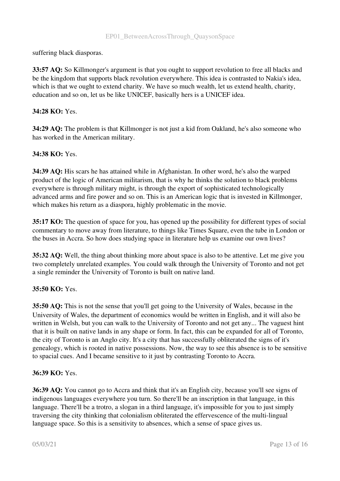suffering black diasporas.

33:57 AQ: So Killmonger's argument is that you ought to support revolution to free all blacks and be the kingdom that supports black revolution everywhere. This idea is contrasted to Nakia's idea, which is that we ought to extend charity. We have so much wealth, let us extend health, charity, education and so on, let us be like UNICEF, basically hers is a UNICEF idea.

# 34:28 KO: Yes.

34:29 AQ: The problem is that Killmonger is not just a kid from Oakland, he's also someone who has worked in the American military.

#### 34:38 KO: Yes.

34:39 AQ: His scars he has attained while in Afghanistan. In other word, he's also the warped product of the logic of American militarism, that is why he thinks the solution to black problems everywhere is through military might, is through the export of sophisticated technologically advanced arms and fire power and so on. This is an American logic that is invested in Killmonger, which makes his return as a diaspora, highly problematic in the movie.

35:17 KO: The question of space for you, has opened up the possibility for different types of social commentary to move away from literature, to things like Times Square, even the tube in London or the buses in Accra. So how does studying space in literature help us examine our own lives?

35:32 AQ: Well, the thing about thinking more about space is also to be attentive. Let me give you two completely unrelated examples. You could walk through the University of Toronto and not get a single reminder the University of Toronto is built on native land.

#### 35:50 KO: Yes.

35:50 AQ: This is not the sense that you'll get going to the University of Wales, because in the University of Wales, the department of economics would be written in English, and it will also be written in Welsh, but you can walk to the University of Toronto and not get any... The vaguest hint that it is built on native lands in any shape or form. In fact, this can be expanded for all of Toronto, the city of Toronto is an Anglo city. It's a city that has successfully obliterated the signs of it's genealogy, which is rooted in native possessions. Now, the way to see this absence is to be sensitive to spacial cues. And I became sensitive to it just by contrasting Toronto to Accra.

#### 36:39 KO: Yes.

36:39 AQ: You cannot go to Accra and think that it's an English city, because you'll see signs of indigenous languages everywhere you turn. So there'll be an inscription in that language, in this language. There'll be a trotro, a slogan in a third language, it's impossible for you to just simply traversing the city thinking that colonialism obliterated the effervescence of the multi-lingual language space. So this is a sensitivity to absences, which a sense of space gives us.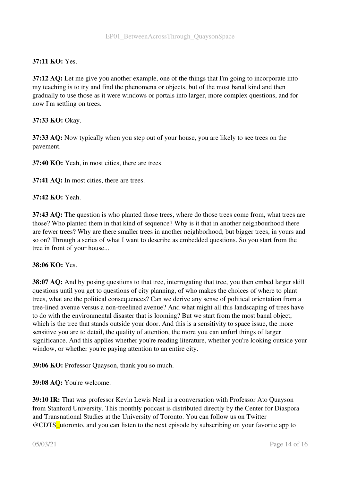# 37:11 KO: Yes.

37:12 AQ: Let me give you another example, one of the things that I'm going to incorporate into my teaching is to try and find the phenomena or objects, but of the most banal kind and then gradually to use those as it were windows or portals into larger, more complex questions, and for now I'm settling on trees.

#### 37:33 KO: Okay.

37:33 AQ: Now typically when you step out of your house, you are likely to see trees on the pavement.

37:40 KO: Yeah, in most cities, there are trees.

37:41 AQ: In most cities, there are trees.

#### 37:42 KO: Yeah.

37:43 AQ: The question is who planted those trees, where do those trees come from, what trees are those? Who planted them in that kind of sequence? Why is it that in another neighbourhood there are fewer trees? Why are there smaller trees in another neighborhood, but bigger trees, in yours and so on? Through a series of what I want to describe as embedded questions. So you start from the tree in front of your house...

#### 38:06 KO: Yes.

38:07 AQ: And by posing questions to that tree, interrogating that tree, you then embed larger skill questions until you get to questions of city planning, of who makes the choices of where to plant trees, what are the political consequences? Can we derive any sense of political orientation from a tree-lined avenue versus a non-treelined avenue? And what might all this landscaping of trees have to do with the environmental disaster that is looming? But we start from the most banal object, which is the tree that stands outside your door. And this is a sensitivity to space issue, the more sensitive you are to detail, the quality of attention, the more you can unfurl things of larger significance. And this applies whether you're reading literature, whether you're looking outside your window, or whether you're paying attention to an entire city.

39:06 KO: Professor Quayson, thank you so much.

39:08 AQ: You're welcome.

39:10 IR: That was professor Kevin Lewis Neal in a conversation with Professor Ato Quayson from Stanford University. This monthly podcast is distributed directly by the Center for Diaspora and Transnational Studies at the University of Toronto. You can follow us on Twitter @CDTS\_utoronto, and you can listen to the next episode by subscribing on your favorite app to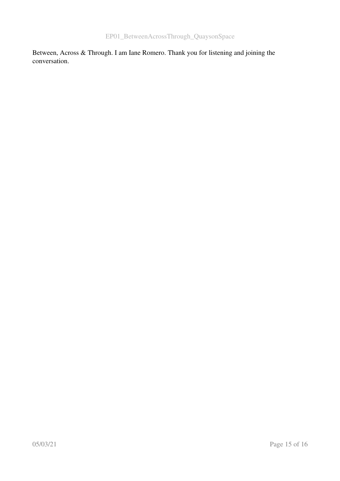Between, Across & Through. I am Iane Romero. Thank you for listening and joining the conversation.